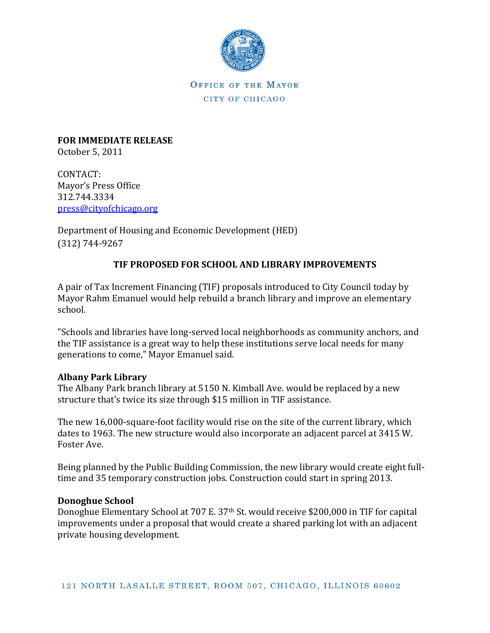

OFFICE OF THE MAYOR CITY OF CHICAGO

**FOR IMMEDIATE RELEASE** October 5, 2011

CONTACT: Mayor's Press Office 312.744.3334 [press@cityofchicago.org](mailto:press@cityofchicago.org)

Department of Housing and Economic Development (HED) (312) 744-9267

## **TIF PROPOSED FOR SCHOOL AND LIBRARY IMPROVEMENTS**

A pair of Tax Increment Financing (TIF) proposals introduced to City Council today by Mayor Rahm Emanuel would help rebuild a branch library and improve an elementary school.

"Schools and libraries have long-served local neighborhoods as community anchors, and the TIF assistance is a great way to help these institutions serve local needs for many generations to come," Mayor Emanuel said.

## **Albany Park Library**

The Albany Park branch library at 5150 N. Kimball Ave. would be replaced by a new structure that's twice its size through \$15 million in TIF assistance.

The new 16,000-square-foot facility would rise on the site of the current library, which dates to 1963. The new structure would also incorporate an adjacent parcel at 3415 W. Foster Ave.

Being planned by the Public Building Commission, the new library would create eight fulltime and 35 temporary construction jobs. Construction could start in spring 2013.

## **Donoghue School**

Donoghue Elementary School at 707 E. 37th St. would receive \$200,000 in TIF for capital improvements under a proposal that would create a shared parking lot with an adjacent private housing development.